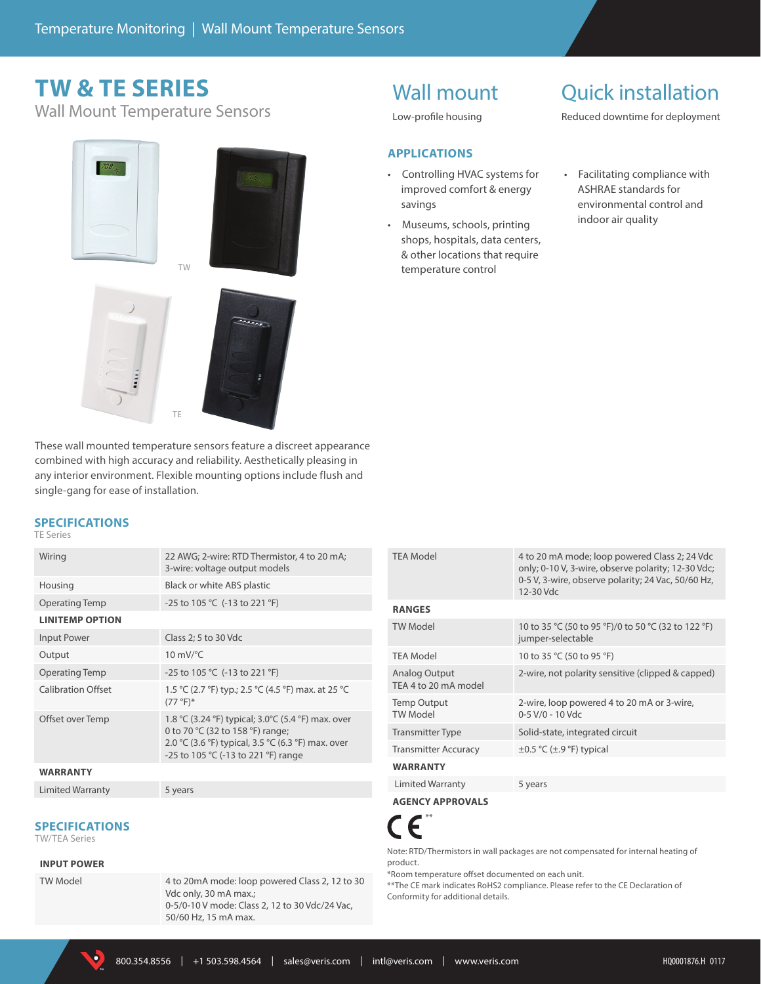# **TW & TE SERIES**

Wall Mount Temperature Sensors





These wall mounted temperature sensors feature a discreet appearance combined with high accuracy and reliability. Aesthetically pleasing in any interior environment. Flexible mounting options include flush and single-gang for ease of installation.

#### **SPECIFICATIONS**

#### TE Series

| Wiring                    | 22 AWG; 2-wire: RTD Thermistor, 4 to 20 mA;<br>3-wire: voltage output models                                                                                                         |
|---------------------------|--------------------------------------------------------------------------------------------------------------------------------------------------------------------------------------|
| Housing                   | Black or white ABS plastic                                                                                                                                                           |
| <b>Operating Temp</b>     | -25 to 105 °C (-13 to 221 °F)                                                                                                                                                        |
| <b>LINITEMP OPTION</b>    |                                                                                                                                                                                      |
| Input Power               | Class 2; 5 to 30 Vdc                                                                                                                                                                 |
| Output                    | $10 \text{ mV}$ <sup>o</sup> C                                                                                                                                                       |
| <b>Operating Temp</b>     | -25 to 105 °C (-13 to 221 °F)                                                                                                                                                        |
| <b>Calibration Offset</b> | 1.5 °C (2.7 °F) typ.; 2.5 °C (4.5 °F) max. at 25 °C<br>$(77 °F)*$                                                                                                                    |
| Offset over Temp          | 1.8 °C (3.24 °F) typical; 3.0 °C (5.4 °F) max. over<br>0 to 70 °C (32 to 158 °F) range;<br>2.0 °C (3.6 °F) typical, 3.5 °C (6.3 °F) max. over<br>-25 to 105 °C (-13 to 221 °F) range |
| <b>WARRANTY</b>           |                                                                                                                                                                                      |
| Limited Warranty          | 5 years                                                                                                                                                                              |

#### **SPECIFICATIONS**

TW/TEA Series

#### **INPUT POWER**

TW Model 4 to 20mA mode: loop powered Class 2, 12 to 30 Vdc only, 30 mA max.; 0-5/0-10 V mode: Class 2, 12 to 30 Vdc/24 Vac, 50/60 Hz, 15 mA max.

# Wall mount

Low-profile housing

#### **APPLICATIONS**

- Controlling HVAC systems for improved comfort & energy savings
- Museums, schools, printing shops, hospitals, data centers, & other locations that require temperature control

### Quick installation

Reduced downtime for deployment

• Facilitating compliance with ASHRAE standards for environmental control and indoor air quality

| <b>TEA Model</b>                      | 4 to 20 mA mode; loop powered Class 2; 24 Vdc<br>only; 0-10 V, 3-wire, observe polarity; 12-30 Vdc;<br>0-5 V, 3-wire, observe polarity; 24 Vac, 50/60 Hz,<br>12-30 Vdc |
|---------------------------------------|------------------------------------------------------------------------------------------------------------------------------------------------------------------------|
| <b>RANGES</b>                         |                                                                                                                                                                        |
| <b>TW Model</b>                       | 10 to 35 °C (50 to 95 °F)/0 to 50 °C (32 to 122 °F)<br>jumper-selectable                                                                                               |
| <b>TEA Model</b>                      | 10 to 35 °C (50 to 95 °F)                                                                                                                                              |
| Analog Output<br>TEA 4 to 20 mA model | 2-wire, not polarity sensitive (clipped & capped)                                                                                                                      |
| <b>Temp Output</b><br><b>TW Model</b> | 2-wire, loop powered 4 to 20 mA or 3-wire,<br>0-5 V/0 - 10 Vdc                                                                                                         |
| <b>Transmitter Type</b>               | Solid-state, integrated circuit                                                                                                                                        |
| <b>Transmitter Accuracy</b>           | $\pm 0.5$ °C ( $\pm$ .9 °F) typical                                                                                                                                    |
| <b>WARRANTY</b>                       |                                                                                                                                                                        |
| Limited Warranty                      | 5 years                                                                                                                                                                |

**AGENCY APPROVALS**



Note: RTD/Thermistors in wall packages are not compensated for internal heating of product.

\*Room temperature offset documented on each unit.

\*\*The CE mark indicates RoHS2 compliance. Please refer to the CE Declaration of Conformity for additional details.

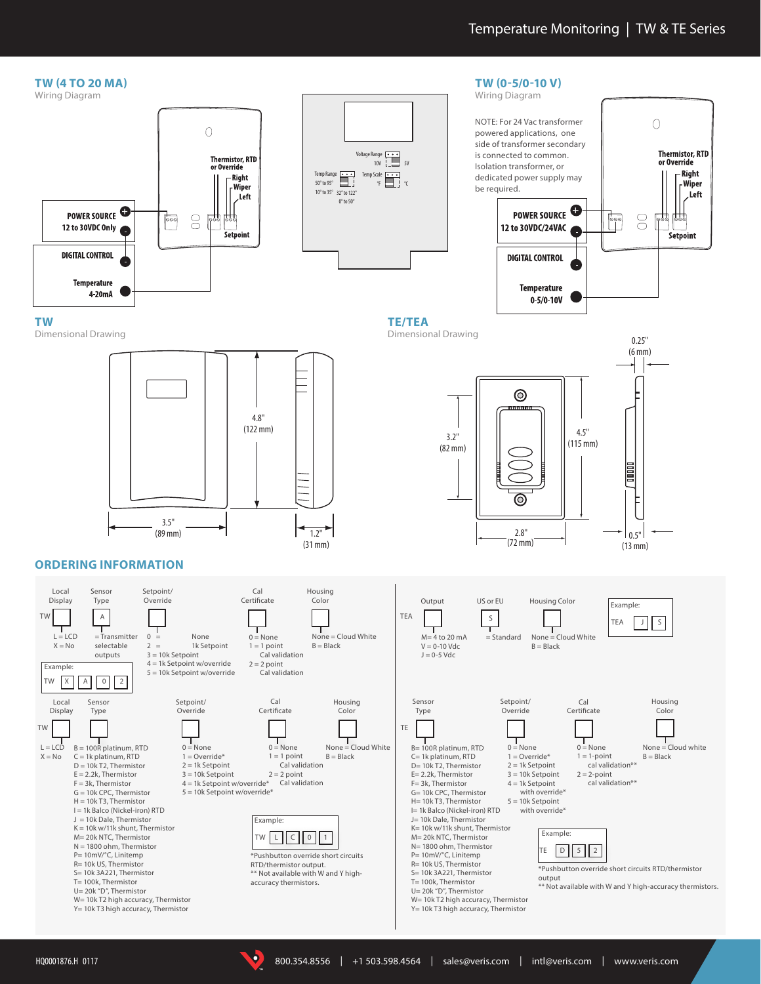

**TM**